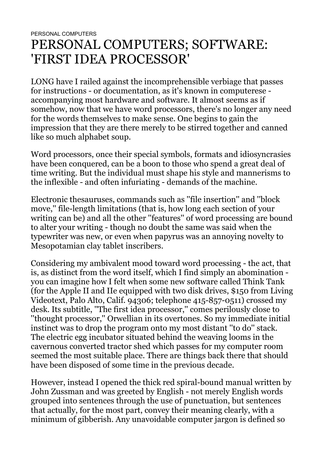## PERSONAL COMPUTERS; SOFTWARE: 'FIRST IDEA PROCESSOR'

LONG have I railed against the incomprehensible verbiage that passes for instructions - or documentation, as it's known in computerese accompanying most hardware and software. It almost seems as if somehow, now that we have word processors, there's no longer any need for the words themselves to make sense. One begins to gain the impression that they are there merely to be stirred together and canned like so much alphabet soup.

Word processors, once their special symbols, formats and idiosyncrasies have been conquered, can be a boon to those who spend a great deal of time writing. But the individual must shape his style and mannerisms to the inflexible - and often infuriating - demands of the machine.

Electronic thesauruses, commands such as ''file insertion'' and ''block move,'' file-length limitations (that is, how long each section of your writing can be) and all the other ''features'' of word processing are bound to alter your writing - though no doubt the same was said when the typewriter was new, or even when papyrus was an annoying novelty to Mesopotamian clay tablet inscribers.

Considering my ambivalent mood toward word processing - the act, that is, as distinct from the word itself, which I find simply an abomination you can imagine how I felt when some new software called Think Tank (for the Apple II and IIe equipped with two disk drives, \$150 from Living Videotext, Palo Alto, Calif. 94306; telephone 415-857-0511) crossed my desk. Its subtitle, ''The first idea processor,'' comes perilously close to ''thought processor,'' Orwellian in its overtones. So my immediate initial instinct was to drop the program onto my most distant ''to do'' stack. The electric egg incubator situated behind the weaving looms in the cavernous converted tractor shed which passes for my computer room seemed the most suitable place. There are things back there that should have been disposed of some time in the previous decade.

However, instead I opened the thick red spiral-bound manual written by John Zussman and was greeted by English - not merely English words grouped into sentences through the use of punctuation, but sentences that actually, for the most part, convey their meaning clearly, with a minimum of gibberish. Any unavoidable computer jargon is defined so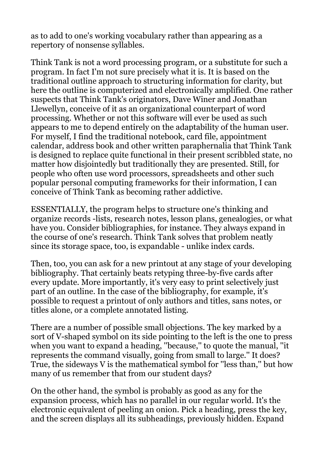as to add to one's working vocabulary rather than appearing as a repertory of nonsense syllables.

Think Tank is not a word processing program, or a substitute for such a program. In fact I'm not sure precisely what it is. It is based on the traditional outline approach to structuring information for clarity, but here the outline is computerized and electronically amplified. One rather suspects that Think Tank's originators, Dave Winer and Jonathan Llewellyn, conceive of it as an organizational counterpart of word processing. Whether or not this software will ever be used as such appears to me to depend entirely on the adaptability of the human user. For myself, I find the traditional notebook, card file, appointment calendar, address book and other written paraphernalia that Think Tank is designed to replace quite functional in their present scribbled state, no matter how disjointedly but traditionally they are presented. Still, for people who often use word processors, spreadsheets and other such popular personal computing frameworks for their information, I can conceive of Think Tank as becoming rather addictive.

ESSENTIALLY, the program helps to structure one's thinking and organize records -lists, research notes, lesson plans, genealogies, or what have you. Consider bibliographies, for instance. They always expand in the course of one's research. Think Tank solves that problem neatly since its storage space, too, is expandable - unlike index cards.

Then, too, you can ask for a new printout at any stage of your developing bibliography. That certainly beats retyping three-by-five cards after every update. More importantly, it's very easy to print selectively just part of an outline. In the case of the bibliography, for example, it's possible to request a printout of only authors and titles, sans notes, or titles alone, or a complete annotated listing.

There are a number of possible small objections. The key marked by a sort of V-shaped symbol on its side pointing to the left is the one to press when you want to expand a heading, "because," to quote the manual, "it represents the command visually, going from small to large.'' It does? True, the sideways V is the mathematical symbol for ''less than,'' but how many of us remember that from our student days?

On the other hand, the symbol is probably as good as any for the expansion process, which has no parallel in our regular world. It's the electronic equivalent of peeling an onion. Pick a heading, press the key, and the screen displays all its subheadings, previously hidden. Expand